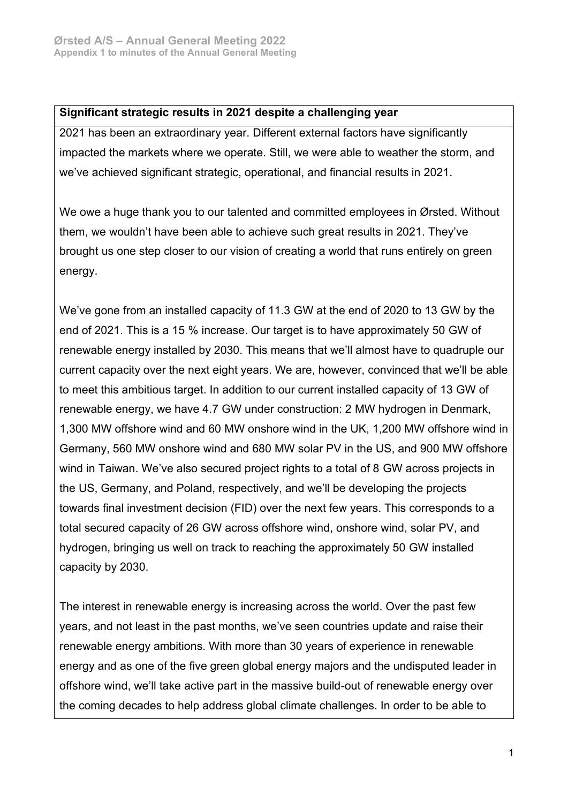#### **Significant strategic results in 2021 despite a challenging year**

2021 has been an extraordinary year. Different external factors have significantly impacted the markets where we operate. Still, we were able to weather the storm, and we've achieved significant strategic, operational, and financial results in 2021.

We owe a huge thank you to our talented and committed employees in Ørsted. Without them, we wouldn't have been able to achieve such great results in 2021. They've brought us one step closer to our vision of creating a world that runs entirely on green energy.

We've gone from an installed capacity of 11.3 GW at the end of 2020 to 13 GW by the end of 2021. This is a 15 % increase. Our target is to have approximately 50 GW of renewable energy installed by 2030. This means that we'll almost have to quadruple our current capacity over the next eight years. We are, however, convinced that we'll be able to meet this ambitious target. In addition to our current installed capacity of 13 GW of renewable energy, we have 4.7 GW under construction: 2 MW hydrogen in Denmark, 1,300 MW offshore wind and 60 MW onshore wind in the UK, 1,200 MW offshore wind in Germany, 560 MW onshore wind and 680 MW solar PV in the US, and 900 MW offshore wind in Taiwan. We've also secured project rights to a total of 8 GW across projects in the US, Germany, and Poland, respectively, and we'll be developing the projects towards final investment decision (FID) over the next few years. This corresponds to a total secured capacity of 26 GW across offshore wind, onshore wind, solar PV, and hydrogen, bringing us well on track to reaching the approximately 50 GW installed capacity by 2030.

The interest in renewable energy is increasing across the world. Over the past few years, and not least in the past months, we've seen countries update and raise their renewable energy ambitions. With more than 30 years of experience in renewable energy and as one of the five green global energy majors and the undisputed leader in offshore wind, we'll take active part in the massive build-out of renewable energy over the coming decades to help address global climate challenges. In order to be able to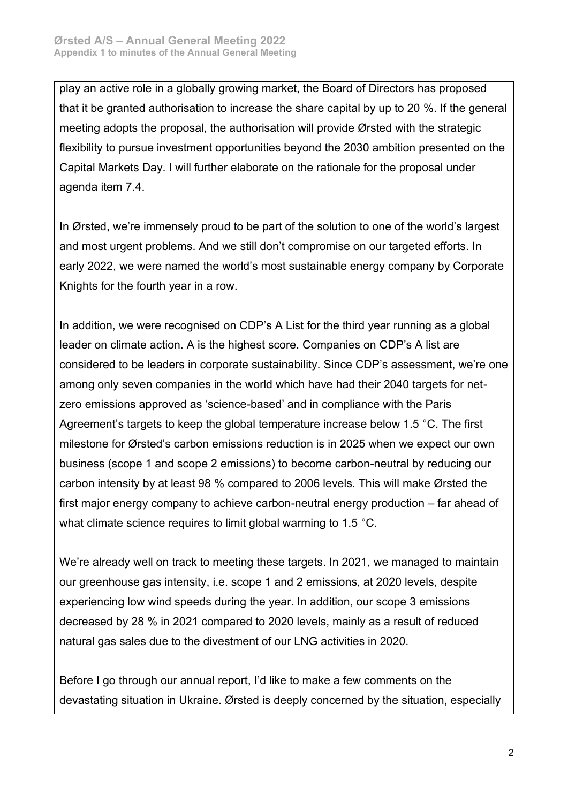play an active role in a globally growing market, the Board of Directors has proposed that it be granted authorisation to increase the share capital by up to 20 %. If the general meeting adopts the proposal, the authorisation will provide Ørsted with the strategic flexibility to pursue investment opportunities beyond the 2030 ambition presented on the Capital Markets Day. I will further elaborate on the rationale for the proposal under agenda item 7.4.

In Ørsted, we're immensely proud to be part of the solution to one of the world's largest and most urgent problems. And we still don't compromise on our targeted efforts. In early 2022, we were named the world's most sustainable energy company by Corporate Knights for the fourth year in a row.

In addition, we were recognised on CDP's A List for the third year running as a global leader on climate action. A is the highest score. Companies on CDP's A list are considered to be leaders in corporate sustainability. Since CDP's assessment, we're one among only seven companies in the world which have had their 2040 targets for netzero emissions approved as 'science-based' and in compliance with the Paris Agreement's targets to keep the global temperature increase below 1.5 °C. The first milestone for Ørsted's carbon emissions reduction is in 2025 when we expect our own business (scope 1 and scope 2 emissions) to become carbon-neutral by reducing our carbon intensity by at least 98 % compared to 2006 levels. This will make Ørsted the first major energy company to achieve carbon-neutral energy production – far ahead of what climate science requires to limit global warming to 1.5 °C.

We're already well on track to meeting these targets. In 2021, we managed to maintain our greenhouse gas intensity, i.e. scope 1 and 2 emissions, at 2020 levels, despite experiencing low wind speeds during the year. In addition, our scope 3 emissions decreased by 28 % in 2021 compared to 2020 levels, mainly as a result of reduced natural gas sales due to the divestment of our LNG activities in 2020.

Before I go through our annual report, I'd like to make a few comments on the devastating situation in Ukraine. Ørsted is deeply concerned by the situation, especially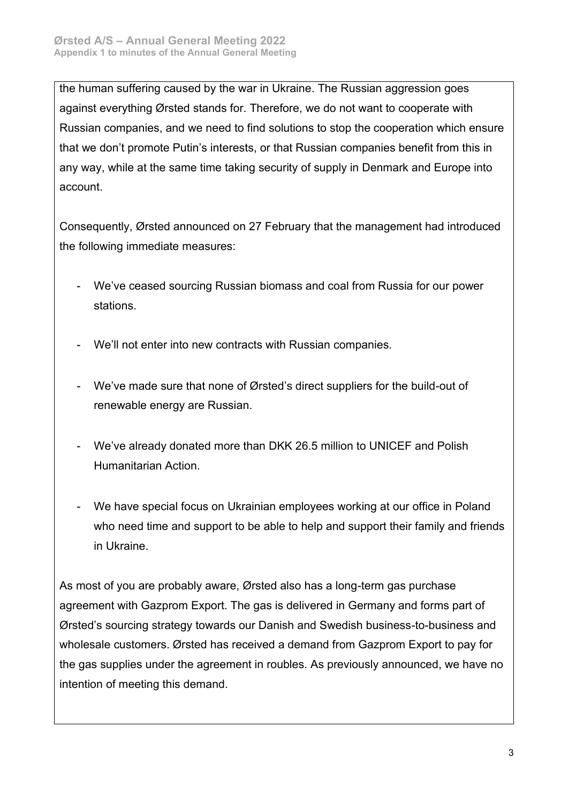the human suffering caused by the war in Ukraine. The Russian aggression goes against everything Ørsted stands for. Therefore, we do not want to cooperate with Russian companies, and we need to find solutions to stop the cooperation which ensure that we don't promote Putin's interests, or that Russian companies benefit from this in any way, while at the same time taking security of supply in Denmark and Europe into account.

Consequently, Ørsted announced on 27 February that the management had introduced the following immediate measures:

- We've ceased sourcing Russian biomass and coal from Russia for our power stations.
- We'll not enter into new contracts with Russian companies.
- We've made sure that none of Ørsted's direct suppliers for the build-out of renewable energy are Russian.
- We've already donated more than DKK 26.5 million to UNICEF and Polish Humanitarian Action.
- We have special focus on Ukrainian employees working at our office in Poland who need time and support to be able to help and support their family and friends in Ukraine.

As most of you are probably aware, Ørsted also has a long-term gas purchase agreement with Gazprom Export. The gas is delivered in Germany and forms part of Ørsted's sourcing strategy towards our Danish and Swedish business-to-business and wholesale customers. Ørsted has received a demand from Gazprom Export to pay for the gas supplies under the agreement in roubles. As previously announced, we have no intention of meeting this demand.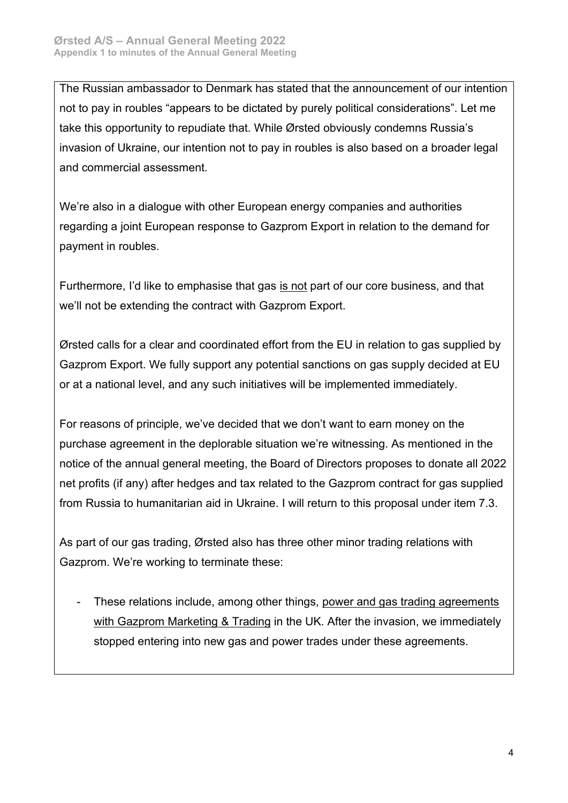The Russian ambassador to Denmark has stated that the announcement of our intention not to pay in roubles "appears to be dictated by purely political considerations". Let me take this opportunity to repudiate that. While Ørsted obviously condemns Russia's invasion of Ukraine, our intention not to pay in roubles is also based on a broader legal and commercial assessment.

We're also in a dialogue with other European energy companies and authorities regarding a joint European response to Gazprom Export in relation to the demand for payment in roubles.

Furthermore, I'd like to emphasise that gas is not part of our core business, and that we'll not be extending the contract with Gazprom Export.

Ørsted calls for a clear and coordinated effort from the EU in relation to gas supplied by Gazprom Export. We fully support any potential sanctions on gas supply decided at EU or at a national level, and any such initiatives will be implemented immediately.

For reasons of principle, we've decided that we don't want to earn money on the purchase agreement in the deplorable situation we're witnessing. As mentioned in the notice of the annual general meeting, the Board of Directors proposes to donate all 2022 net profits (if any) after hedges and tax related to the Gazprom contract for gas supplied from Russia to humanitarian aid in Ukraine. I will return to this proposal under item 7.3.

As part of our gas trading, Ørsted also has three other minor trading relations with Gazprom. We're working to terminate these:

These relations include, among other things, power and gas trading agreements with Gazprom Marketing & Trading in the UK. After the invasion, we immediately stopped entering into new gas and power trades under these agreements.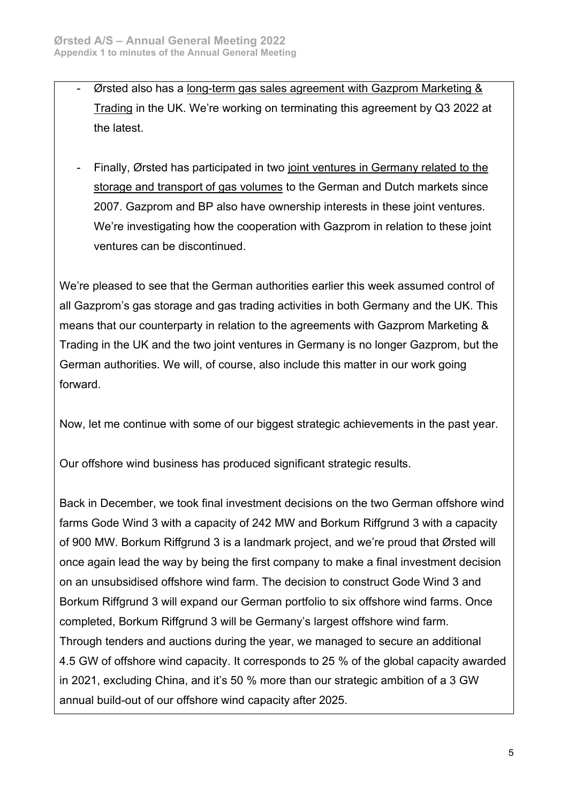- Ørsted also has a long-term gas sales agreement with Gazprom Marketing & Trading in the UK. We're working on terminating this agreement by Q3 2022 at the latest.
- Finally, Ørsted has participated in two joint ventures in Germany related to the storage and transport of gas volumes to the German and Dutch markets since 2007. Gazprom and BP also have ownership interests in these joint ventures. We're investigating how the cooperation with Gazprom in relation to these joint ventures can be discontinued.

We're pleased to see that the German authorities earlier this week assumed control of all Gazprom's gas storage and gas trading activities in both Germany and the UK. This means that our counterparty in relation to the agreements with Gazprom Marketing & Trading in the UK and the two joint ventures in Germany is no longer Gazprom, but the German authorities. We will, of course, also include this matter in our work going forward.

Now, let me continue with some of our biggest strategic achievements in the past year.

Our offshore wind business has produced significant strategic results.

Back in December, we took final investment decisions on the two German offshore wind farms Gode Wind 3 with a capacity of 242 MW and Borkum Riffgrund 3 with a capacity of 900 MW. Borkum Riffgrund 3 is a landmark project, and we're proud that Ørsted will once again lead the way by being the first company to make a final investment decision on an unsubsidised offshore wind farm. The decision to construct Gode Wind 3 and Borkum Riffgrund 3 will expand our German portfolio to six offshore wind farms. Once completed, Borkum Riffgrund 3 will be Germany's largest offshore wind farm. Through tenders and auctions during the year, we managed to secure an additional 4.5 GW of offshore wind capacity. It corresponds to 25 % of the global capacity awarded in 2021, excluding China, and it's 50 % more than our strategic ambition of a 3 GW annual build-out of our offshore wind capacity after 2025.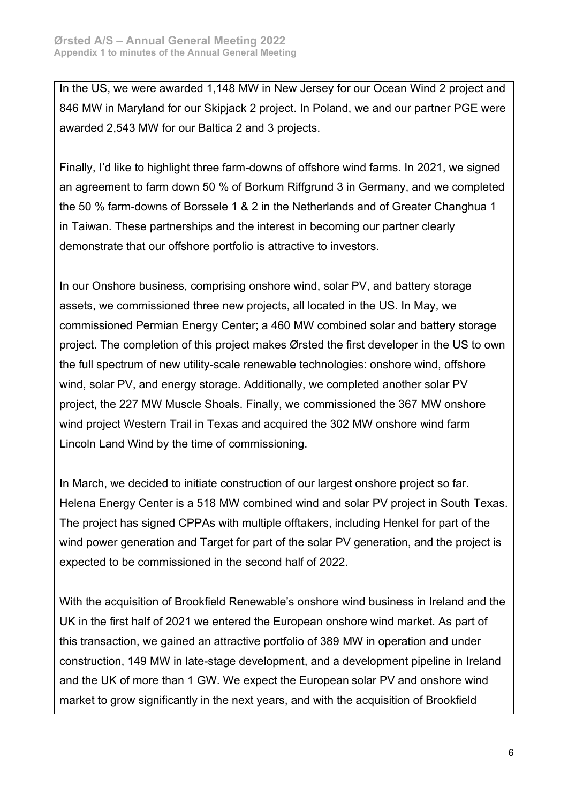In the US, we were awarded 1,148 MW in New Jersey for our Ocean Wind 2 project and 846 MW in Maryland for our Skipjack 2 project. In Poland, we and our partner PGE were awarded 2,543 MW for our Baltica 2 and 3 projects.

Finally, I'd like to highlight three farm-downs of offshore wind farms. In 2021, we signed an agreement to farm down 50 % of Borkum Riffgrund 3 in Germany, and we completed the 50 % farm-downs of Borssele 1 & 2 in the Netherlands and of Greater Changhua 1 in Taiwan. These partnerships and the interest in becoming our partner clearly demonstrate that our offshore portfolio is attractive to investors.

In our Onshore business, comprising onshore wind, solar PV, and battery storage assets, we commissioned three new projects, all located in the US. In May, we commissioned Permian Energy Center; a 460 MW combined solar and battery storage project. The completion of this project makes Ørsted the first developer in the US to own the full spectrum of new utility-scale renewable technologies: onshore wind, offshore wind, solar PV, and energy storage. Additionally, we completed another solar PV project, the 227 MW Muscle Shoals. Finally, we commissioned the 367 MW onshore wind project Western Trail in Texas and acquired the 302 MW onshore wind farm Lincoln Land Wind by the time of commissioning.

In March, we decided to initiate construction of our largest onshore project so far. Helena Energy Center is a 518 MW combined wind and solar PV project in South Texas. The project has signed CPPAs with multiple offtakers, including Henkel for part of the wind power generation and Target for part of the solar PV generation, and the project is expected to be commissioned in the second half of 2022.

With the acquisition of Brookfield Renewable's onshore wind business in Ireland and the UK in the first half of 2021 we entered the European onshore wind market. As part of this transaction, we gained an attractive portfolio of 389 MW in operation and under construction, 149 MW in late-stage development, and a development pipeline in Ireland and the UK of more than 1 GW. We expect the European solar PV and onshore wind market to grow significantly in the next years, and with the acquisition of Brookfield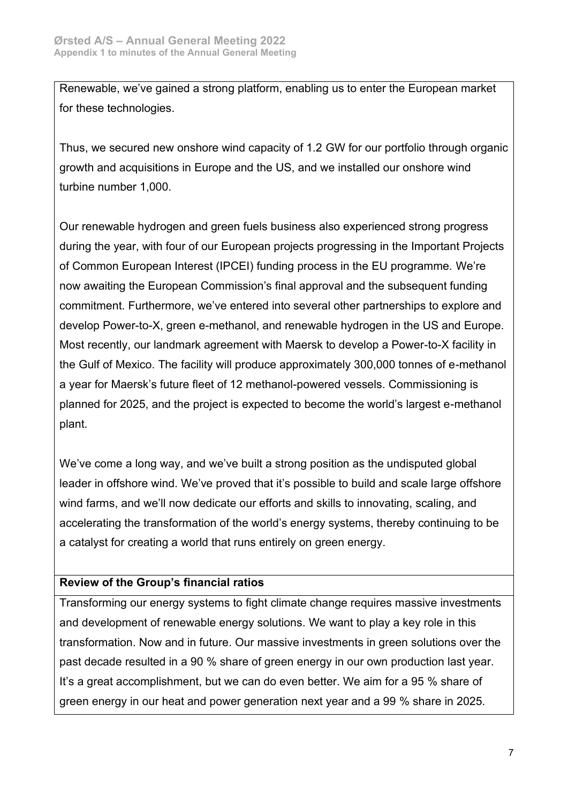Renewable, we've gained a strong platform, enabling us to enter the European market for these technologies.

Thus, we secured new onshore wind capacity of 1.2 GW for our portfolio through organic growth and acquisitions in Europe and the US, and we installed our onshore wind turbine number 1,000.

Our renewable hydrogen and green fuels business also experienced strong progress during the year, with four of our European projects progressing in the Important Projects of Common European Interest (IPCEI) funding process in the EU programme. We're now awaiting the European Commission's final approval and the subsequent funding commitment. Furthermore, we've entered into several other partnerships to explore and develop Power-to-X, green e-methanol, and renewable hydrogen in the US and Europe. Most recently, our landmark agreement with Maersk to develop a Power-to-X facility in the Gulf of Mexico. The facility will produce approximately 300,000 tonnes of e-methanol a year for Maersk's future fleet of 12 methanol-powered vessels. Commissioning is planned for 2025, and the project is expected to become the world's largest e-methanol plant.

We've come a long way, and we've built a strong position as the undisputed global leader in offshore wind. We've proved that it's possible to build and scale large offshore wind farms, and we'll now dedicate our efforts and skills to innovating, scaling, and accelerating the transformation of the world's energy systems, thereby continuing to be a catalyst for creating a world that runs entirely on green energy.

## **Review of the Group's financial ratios**

Transforming our energy systems to fight climate change requires massive investments and development of renewable energy solutions. We want to play a key role in this transformation. Now and in future. Our massive investments in green solutions over the past decade resulted in a 90 % share of green energy in our own production last year. It's a great accomplishment, but we can do even better. We aim for a 95 % share of green energy in our heat and power generation next year and a 99 % share in 2025.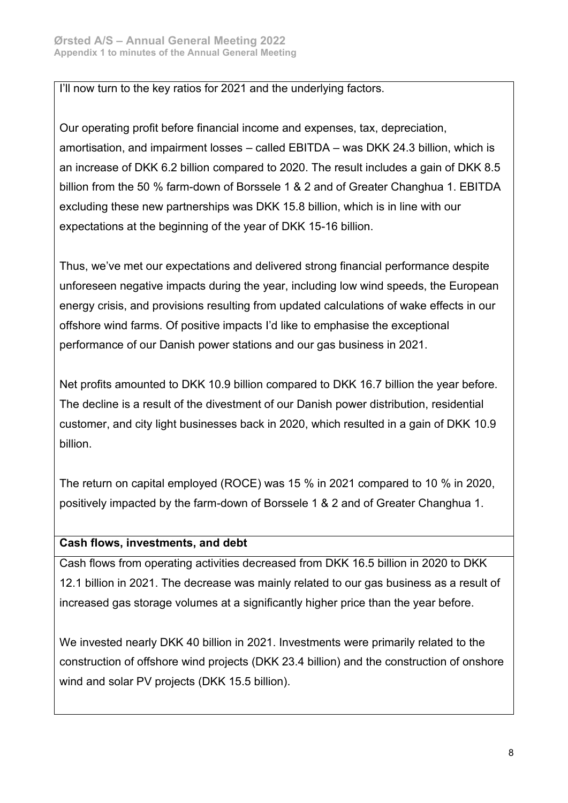#### I'll now turn to the key ratios for 2021 and the underlying factors.

Our operating profit before financial income and expenses, tax, depreciation, amortisation, and impairment losses – called EBITDA – was DKK 24.3 billion, which is an increase of DKK 6.2 billion compared to 2020. The result includes a gain of DKK 8.5 billion from the 50 % farm-down of Borssele 1 & 2 and of Greater Changhua 1. EBITDA excluding these new partnerships was DKK 15.8 billion, which is in line with our expectations at the beginning of the year of DKK 15-16 billion.

Thus, we've met our expectations and delivered strong financial performance despite unforeseen negative impacts during the year, including low wind speeds, the European energy crisis, and provisions resulting from updated calculations of wake effects in our offshore wind farms. Of positive impacts I'd like to emphasise the exceptional performance of our Danish power stations and our gas business in 2021.

Net profits amounted to DKK 10.9 billion compared to DKK 16.7 billion the year before. The decline is a result of the divestment of our Danish power distribution, residential customer, and city light businesses back in 2020, which resulted in a gain of DKK 10.9 billion.

The return on capital employed (ROCE) was 15 % in 2021 compared to 10 % in 2020, positively impacted by the farm-down of Borssele 1 & 2 and of Greater Changhua 1.

## **Cash flows, investments, and debt**

Cash flows from operating activities decreased from DKK 16.5 billion in 2020 to DKK 12.1 billion in 2021. The decrease was mainly related to our gas business as a result of increased gas storage volumes at a significantly higher price than the year before.

We invested nearly DKK 40 billion in 2021. Investments were primarily related to the construction of offshore wind projects (DKK 23.4 billion) and the construction of onshore wind and solar PV projects (DKK 15.5 billion).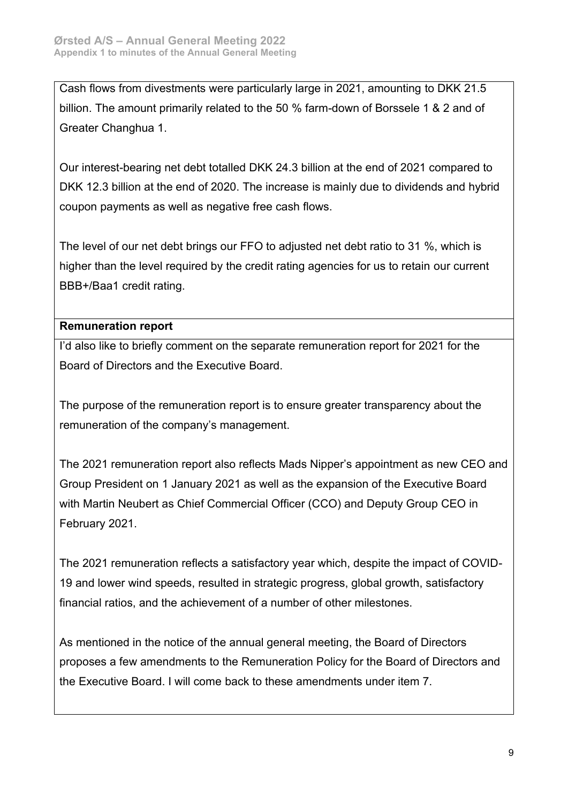Cash flows from divestments were particularly large in 2021, amounting to DKK 21.5 billion. The amount primarily related to the 50 % farm-down of Borssele 1 & 2 and of Greater Changhua 1.

Our interest-bearing net debt totalled DKK 24.3 billion at the end of 2021 compared to DKK 12.3 billion at the end of 2020. The increase is mainly due to dividends and hybrid coupon payments as well as negative free cash flows.

The level of our net debt brings our FFO to adjusted net debt ratio to 31 %, which is higher than the level required by the credit rating agencies for us to retain our current BBB+/Baa1 credit rating.

# **Remuneration report**

I'd also like to briefly comment on the separate remuneration report for 2021 for the Board of Directors and the Executive Board.

The purpose of the remuneration report is to ensure greater transparency about the remuneration of the company's management.

The 2021 remuneration report also reflects Mads Nipper's appointment as new CEO and Group President on 1 January 2021 as well as the expansion of the Executive Board with Martin Neubert as Chief Commercial Officer (CCO) and Deputy Group CEO in February 2021.

The 2021 remuneration reflects a satisfactory year which, despite the impact of COVID-19 and lower wind speeds, resulted in strategic progress, global growth, satisfactory financial ratios, and the achievement of a number of other milestones.

As mentioned in the notice of the annual general meeting, the Board of Directors proposes a few amendments to the Remuneration Policy for the Board of Directors and the Executive Board. I will come back to these amendments under item 7.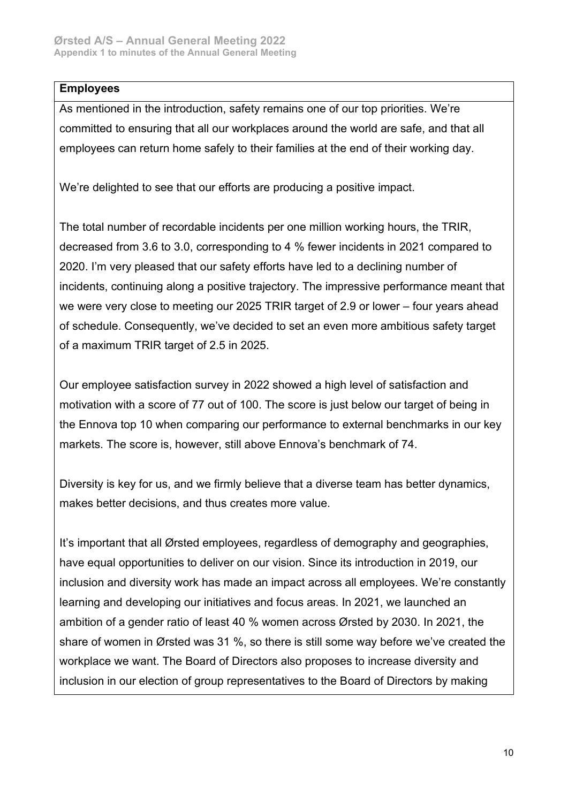## **Employees**

As mentioned in the introduction, safety remains one of our top priorities. We're committed to ensuring that all our workplaces around the world are safe, and that all employees can return home safely to their families at the end of their working day.

We're delighted to see that our efforts are producing a positive impact.

The total number of recordable incidents per one million working hours, the TRIR, decreased from 3.6 to 3.0, corresponding to 4 % fewer incidents in 2021 compared to 2020. I'm very pleased that our safety efforts have led to a declining number of incidents, continuing along a positive trajectory. The impressive performance meant that we were very close to meeting our 2025 TRIR target of 2.9 or lower – four years ahead of schedule. Consequently, we've decided to set an even more ambitious safety target of a maximum TRIR target of 2.5 in 2025.

Our employee satisfaction survey in 2022 showed a high level of satisfaction and motivation with a score of 77 out of 100. The score is just below our target of being in the Ennova top 10 when comparing our performance to external benchmarks in our key markets. The score is, however, still above Ennova's benchmark of 74.

Diversity is key for us, and we firmly believe that a diverse team has better dynamics, makes better decisions, and thus creates more value.

It's important that all Ørsted employees, regardless of demography and geographies, have equal opportunities to deliver on our vision. Since its introduction in 2019, our inclusion and diversity work has made an impact across all employees. We're constantly learning and developing our initiatives and focus areas. In 2021, we launched an ambition of a gender ratio of least 40 % women across Ørsted by 2030. In 2021, the share of women in Ørsted was 31 %, so there is still some way before we've created the workplace we want. The Board of Directors also proposes to increase diversity and inclusion in our election of group representatives to the Board of Directors by making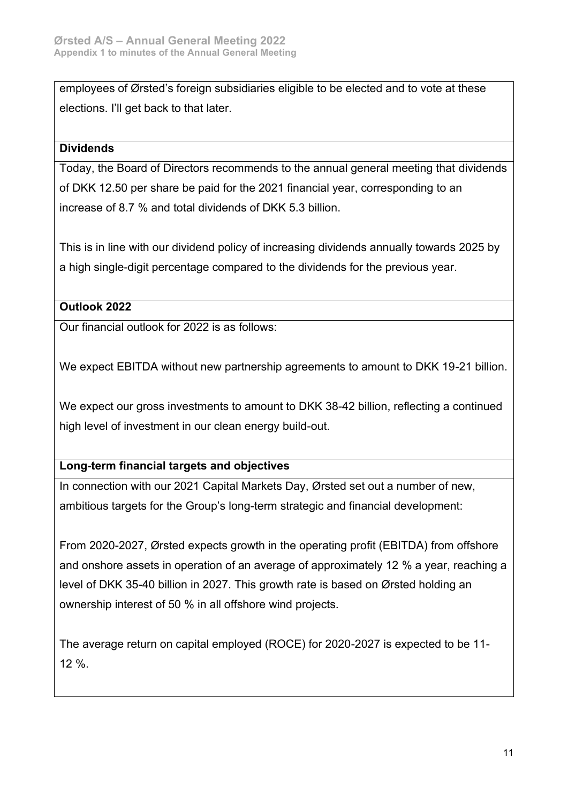employees of Ørsted's foreign subsidiaries eligible to be elected and to vote at these elections. I'll get back to that later.

# **Dividends**

Today, the Board of Directors recommends to the annual general meeting that dividends of DKK 12.50 per share be paid for the 2021 financial year, corresponding to an increase of 8.7 % and total dividends of DKK 5.3 billion.

This is in line with our dividend policy of increasing dividends annually towards 2025 by a high single-digit percentage compared to the dividends for the previous year.

# **Outlook 2022**

Our financial outlook for 2022 is as follows:

We expect EBITDA without new partnership agreements to amount to DKK 19-21 billion.

We expect our gross investments to amount to DKK 38-42 billion, reflecting a continued high level of investment in our clean energy build-out.

# **Long-term financial targets and objectives**

In connection with our 2021 Capital Markets Day, Ørsted set out a number of new, ambitious targets for the Group's long-term strategic and financial development:

From 2020-2027, Ørsted expects growth in the operating profit (EBITDA) from offshore and onshore assets in operation of an average of approximately 12 % a year, reaching a level of DKK 35-40 billion in 2027. This growth rate is based on Ørsted holding an ownership interest of 50 % in all offshore wind projects.

The average return on capital employed (ROCE) for 2020-2027 is expected to be 11- 12 %.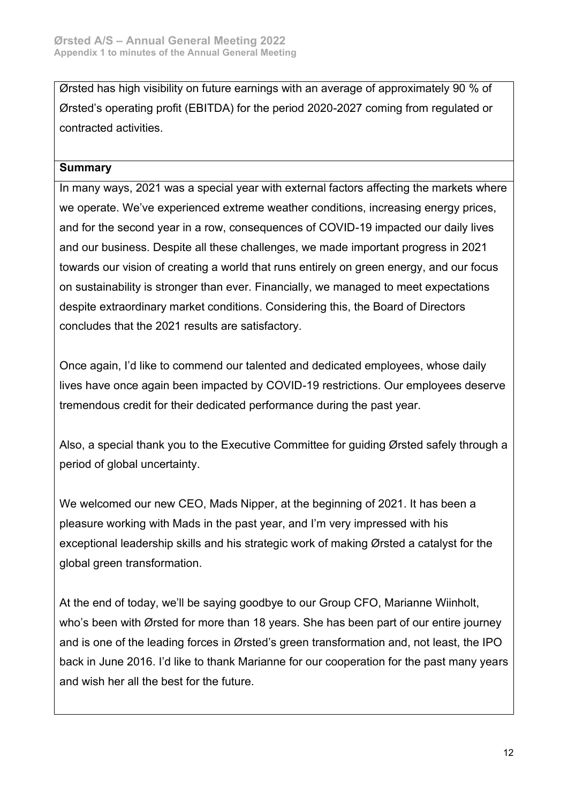Ørsted has high visibility on future earnings with an average of approximately 90 % of Ørsted's operating profit (EBITDA) for the period 2020-2027 coming from regulated or contracted activities.

## **Summary**

In many ways, 2021 was a special year with external factors affecting the markets where we operate. We've experienced extreme weather conditions, increasing energy prices, and for the second year in a row, consequences of COVID-19 impacted our daily lives and our business. Despite all these challenges, we made important progress in 2021 towards our vision of creating a world that runs entirely on green energy, and our focus on sustainability is stronger than ever. Financially, we managed to meet expectations despite extraordinary market conditions. Considering this, the Board of Directors concludes that the 2021 results are satisfactory.

Once again, I'd like to commend our talented and dedicated employees, whose daily lives have once again been impacted by COVID-19 restrictions. Our employees deserve tremendous credit for their dedicated performance during the past year.

Also, a special thank you to the Executive Committee for guiding Ørsted safely through a period of global uncertainty.

We welcomed our new CEO, Mads Nipper, at the beginning of 2021. It has been a pleasure working with Mads in the past year, and I'm very impressed with his exceptional leadership skills and his strategic work of making Ørsted a catalyst for the global green transformation.

At the end of today, we'll be saying goodbye to our Group CFO, Marianne Wiinholt, who's been with Ørsted for more than 18 years. She has been part of our entire journey and is one of the leading forces in Ørsted's green transformation and, not least, the IPO back in June 2016. I'd like to thank Marianne for our cooperation for the past many years and wish her all the best for the future.